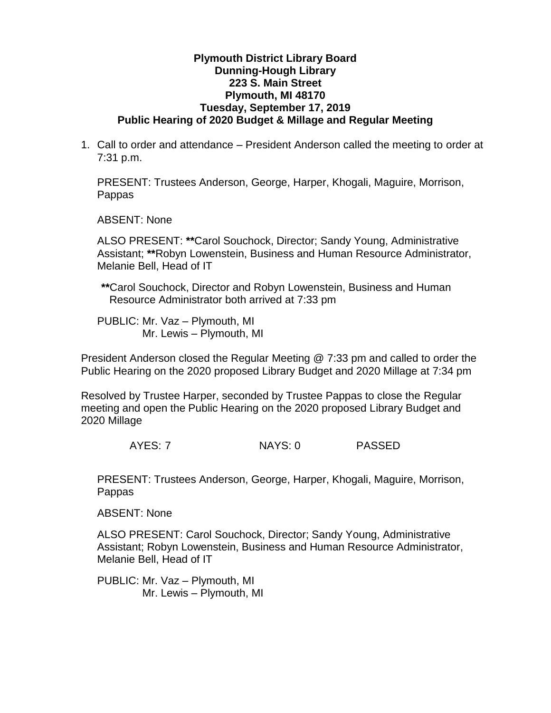## **Plymouth District Library Board Dunning-Hough Library 223 S. Main Street Plymouth, MI 48170 Tuesday, September 17, 2019 Public Hearing of 2020 Budget & Millage and Regular Meeting**

1. Call to order and attendance – President Anderson called the meeting to order at 7:31 p.m.

PRESENT: Trustees Anderson, George, Harper, Khogali, Maguire, Morrison, Pappas

ABSENT: None

ALSO PRESENT: **\*\***Carol Souchock, Director; Sandy Young, Administrative Assistant; **\*\***Robyn Lowenstein, Business and Human Resource Administrator, Melanie Bell, Head of IT

**\*\***Carol Souchock, Director and Robyn Lowenstein, Business and Human Resource Administrator both arrived at 7:33 pm

PUBLIC: Mr. Vaz – Plymouth, MI Mr. Lewis – Plymouth, MI

President Anderson closed the Regular Meeting @ 7:33 pm and called to order the Public Hearing on the 2020 proposed Library Budget and 2020 Millage at 7:34 pm

Resolved by Trustee Harper, seconded by Trustee Pappas to close the Regular meeting and open the Public Hearing on the 2020 proposed Library Budget and 2020 Millage

AYES: 7 NAYS: 0 PASSED

PRESENT: Trustees Anderson, George, Harper, Khogali, Maguire, Morrison, **Pappas** 

ABSENT: None

ALSO PRESENT: Carol Souchock, Director; Sandy Young, Administrative Assistant; Robyn Lowenstein, Business and Human Resource Administrator, Melanie Bell, Head of IT

PUBLIC: Mr. Vaz – Plymouth, MI Mr. Lewis – Plymouth, MI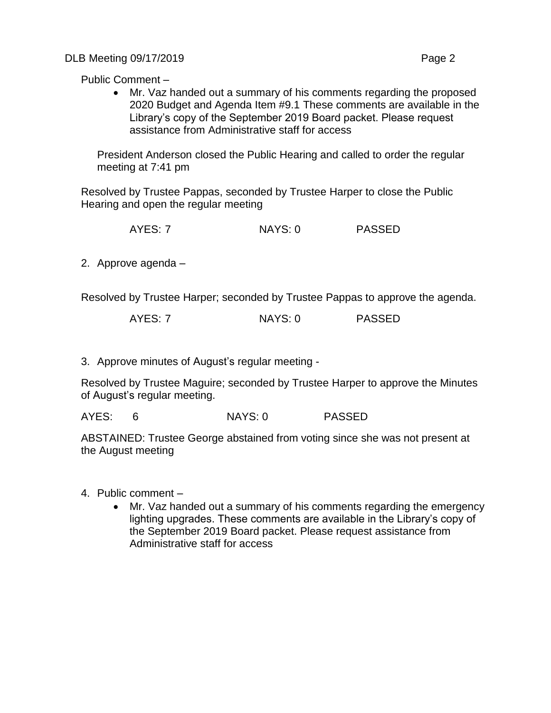DLB Meeting 09/17/2019 **Page 2** 

Public Comment –

 Mr. Vaz handed out a summary of his comments regarding the proposed 2020 Budget and Agenda Item #9.1 These comments are available in the Library's copy of the September 2019 Board packet. Please request assistance from Administrative staff for access

President Anderson closed the Public Hearing and called to order the regular meeting at 7:41 pm

Resolved by Trustee Pappas, seconded by Trustee Harper to close the Public Hearing and open the regular meeting

AYES: 7 NAYS: 0 PASSED

2. Approve agenda –

Resolved by Trustee Harper; seconded by Trustee Pappas to approve the agenda.

3. Approve minutes of August's regular meeting -

Resolved by Trustee Maguire; seconded by Trustee Harper to approve the Minutes of August's regular meeting.

AYES: 6 NAYS: 0 PASSED

ABSTAINED: Trustee George abstained from voting since she was not present at the August meeting

- 4. Public comment
	- Mr. Vaz handed out a summary of his comments regarding the emergency lighting upgrades. These comments are available in the Library's copy of the September 2019 Board packet. Please request assistance from Administrative staff for access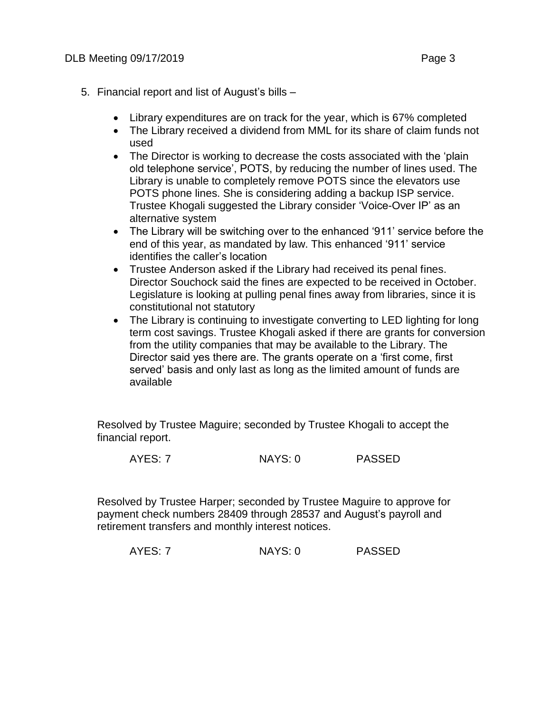- 5. Financial report and list of August's bills
	- Library expenditures are on track for the year, which is 67% completed
	- The Library received a dividend from MML for its share of claim funds not used
	- The Director is working to decrease the costs associated with the 'plain old telephone service', POTS, by reducing the number of lines used. The Library is unable to completely remove POTS since the elevators use POTS phone lines. She is considering adding a backup ISP service. Trustee Khogali suggested the Library consider 'Voice-Over IP' as an alternative system
	- The Library will be switching over to the enhanced '911' service before the end of this year, as mandated by law. This enhanced '911' service identifies the caller's location
	- Trustee Anderson asked if the Library had received its penal fines. Director Souchock said the fines are expected to be received in October. Legislature is looking at pulling penal fines away from libraries, since it is constitutional not statutory
	- The Library is continuing to investigate converting to LED lighting for long term cost savings. Trustee Khogali asked if there are grants for conversion from the utility companies that may be available to the Library. The Director said yes there are. The grants operate on a 'first come, first served' basis and only last as long as the limited amount of funds are available

Resolved by Trustee Maguire; seconded by Trustee Khogali to accept the financial report.

AYES: 7 NAYS: 0 PASSED

Resolved by Trustee Harper; seconded by Trustee Maguire to approve for payment check numbers 28409 through 28537 and August's payroll and retirement transfers and monthly interest notices.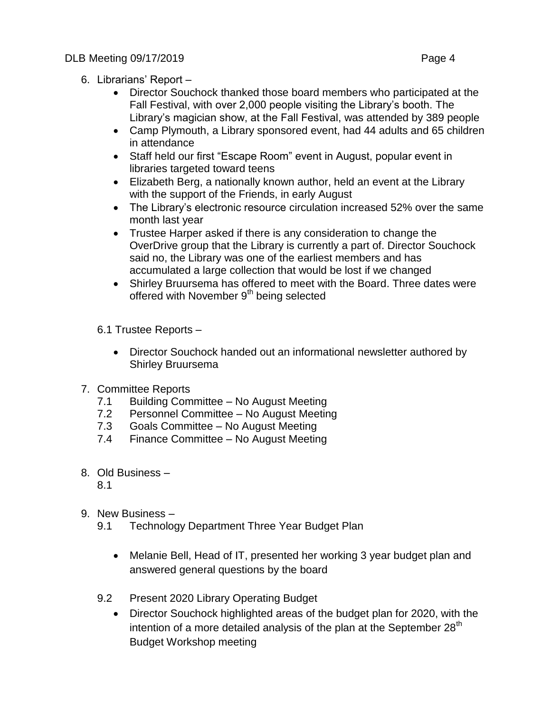- 6. Librarians' Report
	- Director Souchock thanked those board members who participated at the Fall Festival, with over 2,000 people visiting the Library's booth. The Library's magician show, at the Fall Festival, was attended by 389 people
	- Camp Plymouth, a Library sponsored event, had 44 adults and 65 children in attendance
	- Staff held our first "Escape Room" event in August, popular event in libraries targeted toward teens
	- Elizabeth Berg, a nationally known author, held an event at the Library with the support of the Friends, in early August
	- The Library's electronic resource circulation increased 52% over the same month last year
	- Trustee Harper asked if there is any consideration to change the OverDrive group that the Library is currently a part of. Director Souchock said no, the Library was one of the earliest members and has accumulated a large collection that would be lost if we changed
	- Shirley Bruursema has offered to meet with the Board. Three dates were offered with November 9<sup>th</sup> being selected
	- 6.1 Trustee Reports
		- Director Souchock handed out an informational newsletter authored by Shirley Bruursema
- 7. Committee Reports
	- 7.1 Building Committee No August Meeting
	- 7.2 Personnel Committee No August Meeting
	- 7.3 Goals Committee No August Meeting
	- 7.4 Finance Committee No August Meeting
- 8. Old Business
	- 8.1
- 9. New Business
	- 9.1 Technology Department Three Year Budget Plan
		- Melanie Bell, Head of IT, presented her working 3 year budget plan and answered general questions by the board
	- 9.2 Present 2020 Library Operating Budget
		- Director Souchock highlighted areas of the budget plan for 2020, with the intention of a more detailed analysis of the plan at the September 28<sup>th</sup> Budget Workshop meeting